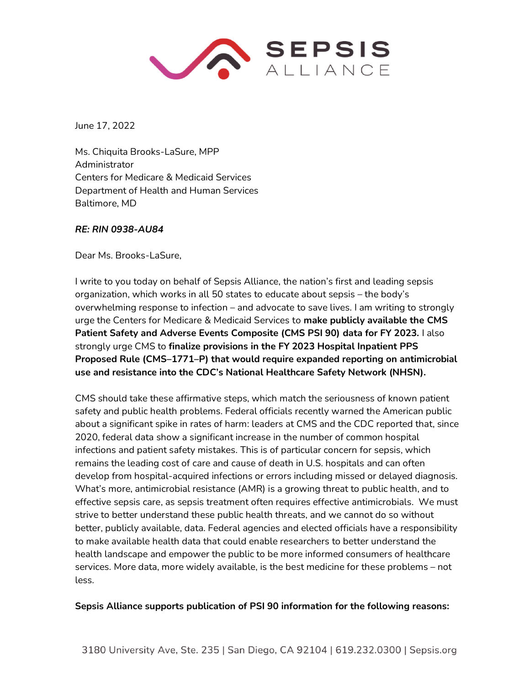

June 17, 2022

Ms. Chiquita Brooks-LaSure, MPP Administrator Centers for Medicare & Medicaid Services Department of Health and Human Services Baltimore, MD

## *RE: RIN 0938-AU84*

Dear Ms. Brooks-LaSure,

I write to you today on behalf of Sepsis Alliance, the nation's first and leading sepsis organization, which works in all 50 states to educate about sepsis – the body's overwhelming response to infection – and advocate to save lives. I am writing to strongly urge the Centers for Medicare & Medicaid Services to **make publicly available the CMS Patient Safety and Adverse Events Composite (CMS PSI 90) data for FY 2023.** I also strongly urge CMS to **finalize provisions in the FY 2023 Hospital Inpatient PPS Proposed Rule (CMS–1771–P) that would require expanded reporting on antimicrobial use and resistance into the CDC's National Healthcare Safety Network (NHSN).** 

CMS should take these affirmative steps, which match the seriousness of known patient safety and public health problems. Federal officials recently warned the American public about a significant spike in rates of harm: leaders at CMS and the CDC reported that, since 2020, federal data show a significant increase in the number of common hospital infections and patient safety mistakes. This is of particular concern for sepsis, which remains the leading cost of care and cause of death in U.S. hospitals and can often develop from hospital-acquired infections or errors including missed or delayed diagnosis. What's more, antimicrobial resistance (AMR) is a growing threat to public health, and to effective sepsis care, as sepsis treatment often requires effective antimicrobials. We must strive to better understand these public health threats, and we cannot do so without better, publicly available, data. Federal agencies and elected officials have a responsibility to make available health data that could enable researchers to better understand the health landscape and empower the public to be more informed consumers of healthcare services. More data, more widely available, is the best medicine for these problems – not less.

## **Sepsis Alliance supports publication of PSI 90 information for the following reasons:**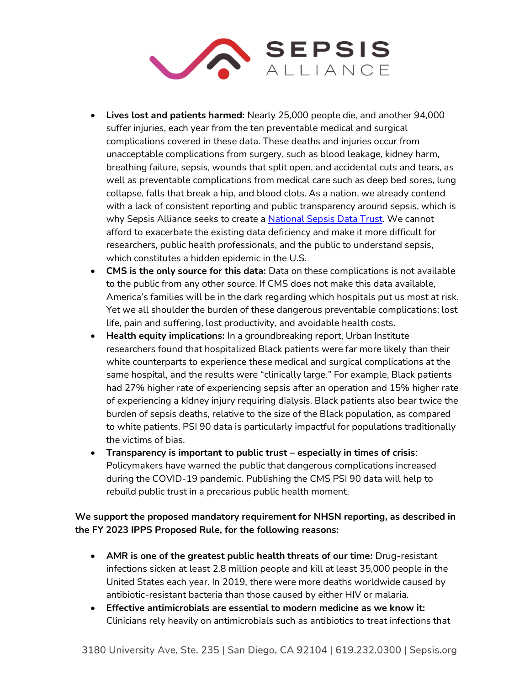

- **Lives lost and patients harmed:** Nearly 25,000 people die, and another 94,000 suffer injuries, each year from the ten preventable medical and surgical complications covered in these data. These deaths and injuries occur from unacceptable complications from surgery, such as blood leakage, kidney harm, breathing failure, sepsis, wounds that split open, and accidental cuts and tears, as well as preventable complications from medical care such as deep bed sores, lung collapse, falls that break a hip, and blood clots. As a nation, we already contend with a lack of consistent reporting and public transparency around sepsis, which is why Sepsis Alliance seeks to create a [National Sepsis Data Trust.](https://www.sepsisregistry.org/) We cannot afford to exacerbate the existing data deficiency and make it more difficult for researchers, public health professionals, and the public to understand sepsis, which constitutes a hidden epidemic in the U.S.
- **CMS is the only source for this data:** Data on these complications is not available to the public from any other source. If CMS does not make this data available, America's families will be in the dark regarding which hospitals put us most at risk. Yet we all shoulder the burden of these dangerous preventable complications: lost life, pain and suffering, lost productivity, and avoidable health costs.
- **Health equity implications:** In a groundbreaking report, Urban Institute researchers found that hospitalized Black patients were far more likely than their white counterparts to experience these medical and surgical complications at the same hospital, and the results were "clinically large." For example, Black patients had 27% higher rate of experiencing sepsis after an operation and 15% higher rate of experiencing a kidney injury requiring dialysis. Black patients also bear twice the burden of sepsis deaths, relative to the size of the Black population, as compared to white patients. PSI 90 data is particularly impactful for populations traditionally the victims of bias.
- **Transparency is important to public trust – especially in times of crisis**: Policymakers have warned the public that dangerous complications increased during the COVID-19 pandemic. Publishing the CMS PSI 90 data will help to rebuild public trust in a precarious public health moment.

**We support the proposed mandatory requirement for NHSN reporting, as described in the FY 2023 IPPS Proposed Rule, for the following reasons:** 

- **AMR is one of the greatest public health threats of our time:** Drug-resistant infections sicken at least 2.8 million people and kill at least 35,000 people in the United States each year. In 2019, there were more deaths worldwide caused by antibiotic-resistant bacteria than those caused by either HIV or malaria.
- **Effective antimicrobials are essential to modern medicine as we know it:**  Clinicians rely heavily on antimicrobials such as antibiotics to treat infections that